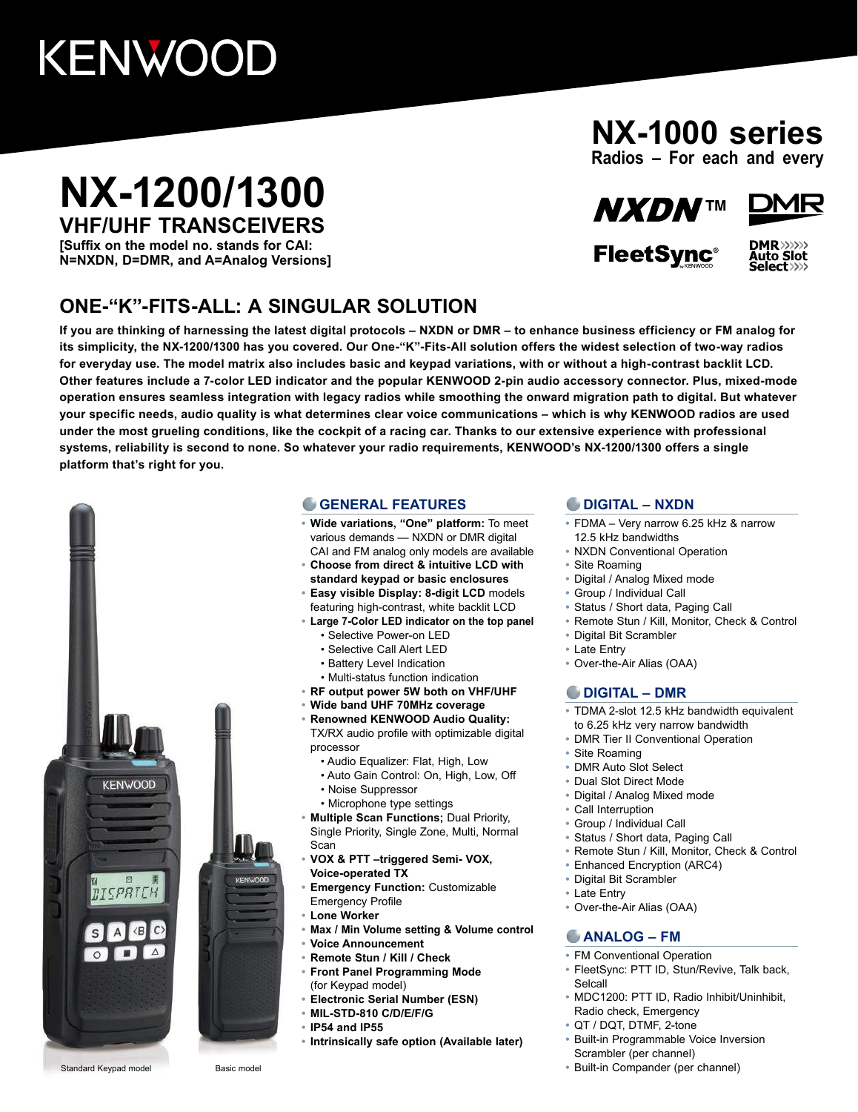# KENWOOD

## **NX-1200/1300 VHF/UHF TRANSCEIVERS**

**[Suffix on the model no. stands for CAI: N=NXDN, D=DMR, and A=Analog Versions]**

### **ONE-"K"-FITS-ALL: A SINGULAR SOLUTION**

**NX-1000 series**

**Radios – For each and every**



**FleetSvnc®** 



**If you are thinking of harnessing the latest digital protocols – NXDN or DMR – to enhance business efficiency or FM analog for its simplicity, the NX-1200/1300 has you covered. Our One-"K"-Fits-All solution offers the widest selection of two-way radios for everyday use. The model matrix also includes basic and keypad variations, with or without a high-contrast backlit LCD. Other features include a 7-color LED indicator and the popular KENWOOD 2-pin audio accessory connector. Plus, mixed-mode operation ensures seamless integration with legacy radios while smoothing the onward migration path to digital. But whatever your specific needs, audio quality is what determines clear voice communications – which is why KENWOOD radios are used under the most grueling conditions, like the cockpit of a racing car. Thanks to our extensive experience with professional systems, reliability is second to none. So whatever your radio requirements, KENWOOD's NX-1200/1300 offers a single platform that's right for you.**



#### **GENERAL FEATURES**

- **• Wide variations, "One" platform:** To meet various demands — NXDN or DMR digital CAI and FM analog only models are available
- **• Choose from direct & intuitive LCD with**
- **standard keypad or basic enclosures**
- **• Easy visible Display: 8-digit LCD** models featuring high-contrast, white backlit LCD
- **• Large 7-Color LED indicator on the top panel**
	- Selective Power-on LED
	- Selective Call Alert LED
	- Battery Level Indication
	- Multi-status function indication
- **• RF output power 5W both on VHF/UHF**
- **• Wide band UHF 70MHz coverage**
- **• Renowned KENWOOD Audio Quality:** TX/RX audio profile with optimizable digital processor
	- Audio Equalizer: Flat, High, Low
	- Auto Gain Control: On, High, Low, Off • Noise Suppressor
	- Microphone type settings
- **• Multiple Scan Functions;** Dual Priority, Single Priority, Single Zone, Multi, Normal Scan
- **• VOX & PTT –triggered Semi- VOX, Voice-operated TX**
- **• Emergency Function:** Customizable
- Emergency Profile
- **• Lone Worker**
- **• Max / Min Volume setting & Volume control**
- **• Voice Announcement**
- **• Remote Stun / Kill / Check • Front Panel Programming Mode** (for Keypad model)
- **• Electronic Serial Number (ESN)**
- **• MIL-STD-810 C/D/E/F/G**
- **• IP54 and IP55**
- **• Intrinsically safe option (Available later)**

#### **DIGITAL – NXDN**

- **•** FDMA Very narrow 6.25 kHz & narrow 12.5 kHz bandwidths
- **•** NXDN Conventional Operation
- **•** Site Roaming
- **•** Digital / Analog Mixed mode
- **•** Group / Individual Call
- **•** Status / Short data, Paging Call
- **•** Remote Stun / Kill, Monitor, Check & Control
- **•** Digital Bit Scrambler
- **•** Late Entry
- **•** Over-the-Air Alias (OAA)

#### **DIGITAL – DMR**

- **•** TDMA 2-slot 12.5 kHz bandwidth equivalent to 6.25 kHz very narrow bandwidth
- **•** DMR Tier II Conventional Operation
- **•** Site Roaming
- **•** DMR Auto Slot Select
- **•** Dual Slot Direct Mode
- **•** Digital / Analog Mixed mode
- **•** Call Interruption
- **•** Group / Individual Call
- **•** Status / Short data, Paging Call
- **•** Remote Stun / Kill, Monitor, Check & Control
- **•** Enhanced Encryption (ARC4)
- **•** Digital Bit Scrambler
- **•** Late Entry
- **•** Over-the-Air Alias (OAA)

#### **ANALOG – FM**

- **•** FM Conventional Operation
- **•** FleetSync: PTT ID, Stun/Revive, Talk back, Selcall
- **•** MDC1200: PTT ID, Radio Inhibit/Uninhibit, Radio check, Emergency
- **•** QT / DQT, DTMF, 2-tone
- **•** Built-in Programmable Voice Inversion Scrambler (per channel)
- **•** Built-in Compander (per channel)

Standard Keypad model Basic model

**KENWOOD**